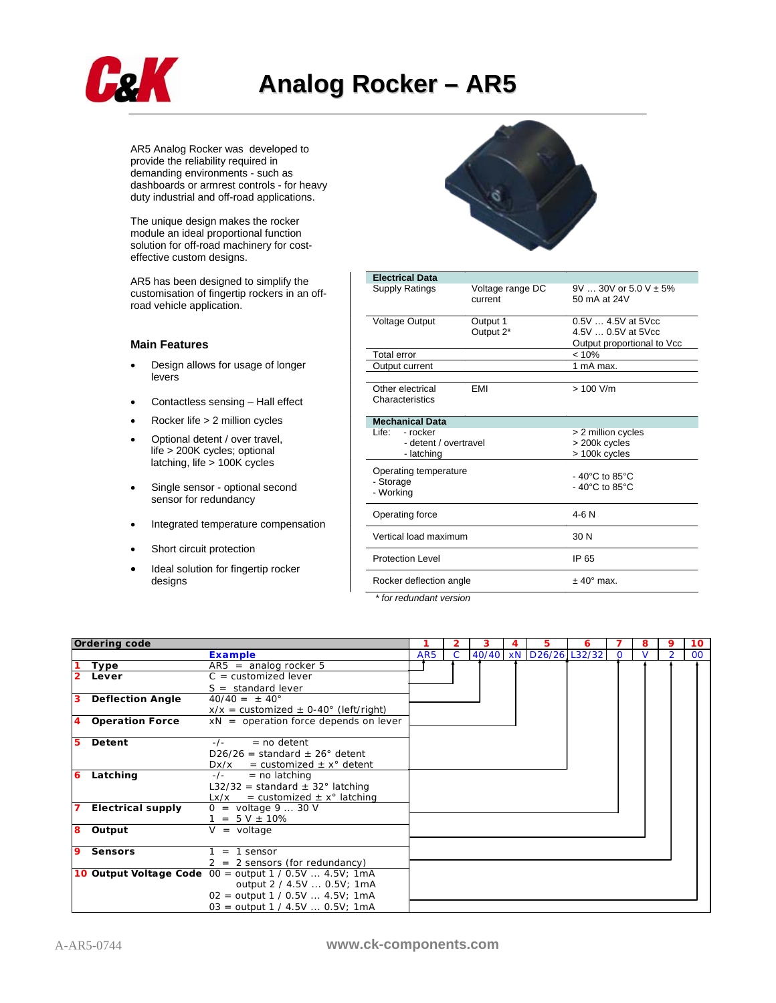

AR5 Analog Rocker was developed to provide the reliability required in demanding environments - such as dashboards or armrest controls - for heavy duty industrial and off-road applications.

The unique design makes the rocker module an ideal proportional function solution for off-road machinery for costeffective custom designs.

AR5 has been designed to simplify the customisation of fingertip rockers in an offroad vehicle application.

## **Main Features**

- Design allows for usage of longer levers
- Contactless sensing Hall effect
- Rocker life > 2 million cycles
- Optional detent / over travel, life > 200K cycles; optional latching, life > 100K cycles
- Single sensor optional second sensor for redundancy
- Integrated temperature compensation
- Short circuit protection
- Ideal solution for fingertip rocker designs



| <b>Electrical Data</b>                          |                             |                                                                          |  |  |  |  |  |
|-------------------------------------------------|-----------------------------|--------------------------------------------------------------------------|--|--|--|--|--|
| <b>Supply Ratings</b>                           | Voltage range DC<br>current | $9V30V$ or $5.0V \pm 5\%$<br>50 mA at 24V                                |  |  |  |  |  |
| Voltage Output                                  | Output 1<br>Output 2*       | $0.5V4.5V$ at 5Vcc<br>4.5V  0.5V at 5Vcc<br>Output proportional to Vcc   |  |  |  |  |  |
| <b>Total error</b>                              |                             | < 10%                                                                    |  |  |  |  |  |
| Output current                                  |                             | 1 mA max.                                                                |  |  |  |  |  |
| Other electrical<br>Characteristics             | EMI                         | $> 100$ V/m                                                              |  |  |  |  |  |
| <b>Mechanical Data</b>                          |                             |                                                                          |  |  |  |  |  |
| l ife∙<br>- rocker                              |                             | > 2 million cycles                                                       |  |  |  |  |  |
| - detent / overtravel                           |                             | > 200k cycles                                                            |  |  |  |  |  |
| - latching                                      |                             | > 100k cycles                                                            |  |  |  |  |  |
| Operating temperature<br>- Storage<br>- Working |                             | $-40^{\circ}$ C to 85 $^{\circ}$ C<br>$-40^{\circ}$ C to 85 $^{\circ}$ C |  |  |  |  |  |
| Operating force                                 | 4-6 N                       |                                                                          |  |  |  |  |  |
| Vertical load maximum                           | 30 N                        |                                                                          |  |  |  |  |  |
| <b>Protection Level</b>                         | IP 65                       |                                                                          |  |  |  |  |  |
| Rocker deflection angle                         | $± 40^{\circ}$ max.         |                                                                          |  |  |  |  |  |

*\* for redundant version* 

|    | <b>Ordering code</b>    |                                                          |                 |  |       | 5                | 6 | 8 | 9              | 10     |
|----|-------------------------|----------------------------------------------------------|-----------------|--|-------|------------------|---|---|----------------|--------|
|    |                         | <b>Example</b>                                           | AR <sub>5</sub> |  | 40/40 | xN D26/26 L32/32 |   |   | $\overline{2}$ | $00\,$ |
|    | Type                    | $AR5 =$ analog rocker 5                                  |                 |  |       |                  |   |   |                |        |
|    | Lever                   | $C =$ customized lever                                   |                 |  |       |                  |   |   |                |        |
|    |                         | $S = standard lever$                                     |                 |  |       |                  |   |   |                |        |
| 13 | <b>Deflection Angle</b> | $40/40 = \pm 40^{\circ}$                                 |                 |  |       |                  |   |   |                |        |
|    |                         | $x/x =$ customized $\pm$ 0-40° (left/right)              |                 |  |       |                  |   |   |                |        |
| 4  | <b>Operation Force</b>  | $xN =$ operation force depends on lever                  |                 |  |       |                  |   |   |                |        |
|    |                         |                                                          |                 |  |       |                  |   |   |                |        |
| 5  | Detent                  | $=$ no detent<br>$-/-$                                   |                 |  |       |                  |   |   |                |        |
|    |                         | $D26/26$ = standard $\pm$ 26° detent                     |                 |  |       |                  |   |   |                |        |
|    |                         | $Dx/x =$ customized $\pm x^{\circ}$ detent               |                 |  |       |                  |   |   |                |        |
| 6  | Latching                | $=$ no latching<br>$-/-$                                 |                 |  |       |                  |   |   |                |        |
|    |                         | L32/32 = standard $\pm$ 32° latching                     |                 |  |       |                  |   |   |                |        |
|    |                         | = customized $\pm x^{\circ}$ latching<br>Lx/x            |                 |  |       |                  |   |   |                |        |
|    | Electrical supply       | $0 =$ voltage 9  30 V                                    |                 |  |       |                  |   |   |                |        |
|    |                         | $= 5 V \pm 10\%$                                         |                 |  |       |                  |   |   |                |        |
| 8  | Output                  | $V = voltage$                                            |                 |  |       |                  |   |   |                |        |
|    |                         |                                                          |                 |  |       |                  |   |   |                |        |
| 9  | <b>Sensors</b>          | $1 = 1$ sensor                                           |                 |  |       |                  |   |   |                |        |
|    |                         | $2 = 2$ sensors (for redundancy)                         |                 |  |       |                  |   |   |                |        |
|    |                         | 10 Output Voltage Code $00 =$ output 1 / 0.5V  4.5V; 1mA |                 |  |       |                  |   |   |                |        |
|    |                         | output 2 / 4.5V  0.5V; 1mA                               |                 |  |       |                  |   |   |                |        |
|    |                         | $02 =$ output 1 / 0.5V  4.5V; 1mA                        |                 |  |       |                  |   |   |                |        |
|    |                         | $03 =$ output 1 / 4.5V  0.5V; 1mA                        |                 |  |       |                  |   |   |                |        |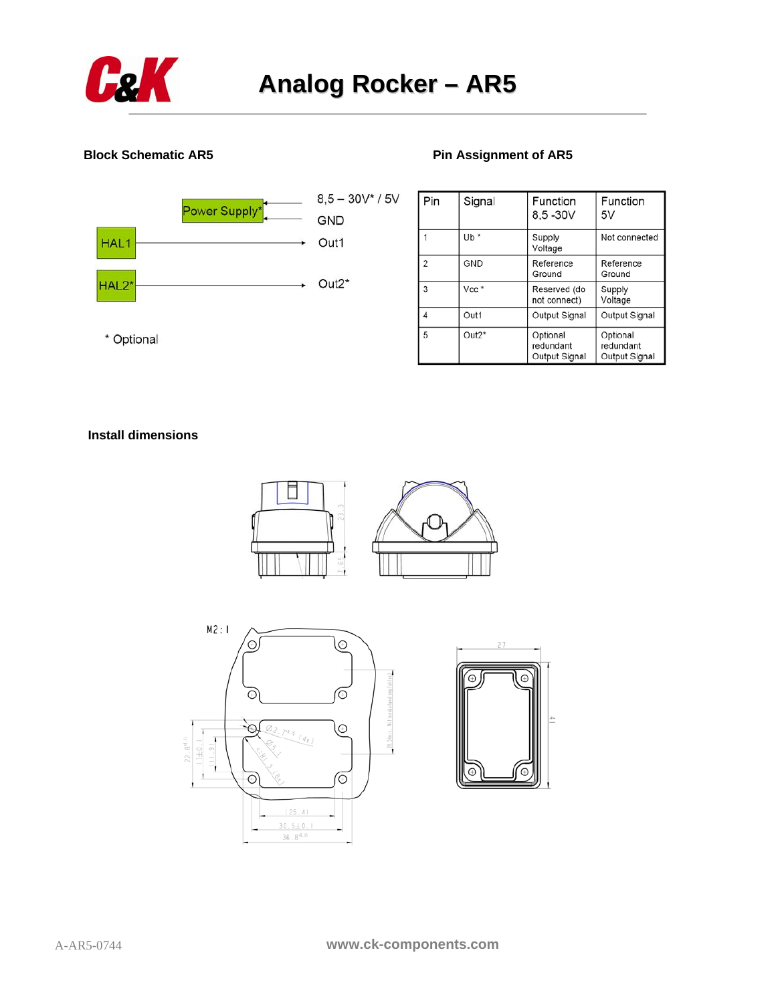

## **Block Schematic AR5 Pin Assignment of AR5**



| Pin            | Signal  | Function<br>8,5 -30V                   | Function<br>5V                         |
|----------------|---------|----------------------------------------|----------------------------------------|
|                | $Ub *$  | Supply<br>Voltage                      | Not connected                          |
| $\overline{2}$ | GND     | Reference<br>Ground                    | Reference<br>Ground                    |
| 3              | Vec     | Reserved (do<br>not connect)           | Supply<br>Voltage                      |
| 4              | Out1    | Output Signal                          | Output Signal                          |
| 5              | $Out2*$ | Optional<br>redundant<br>Output Signal | Optional<br>redundant<br>Output Signal |

\* Optional

## **Install dimensions**